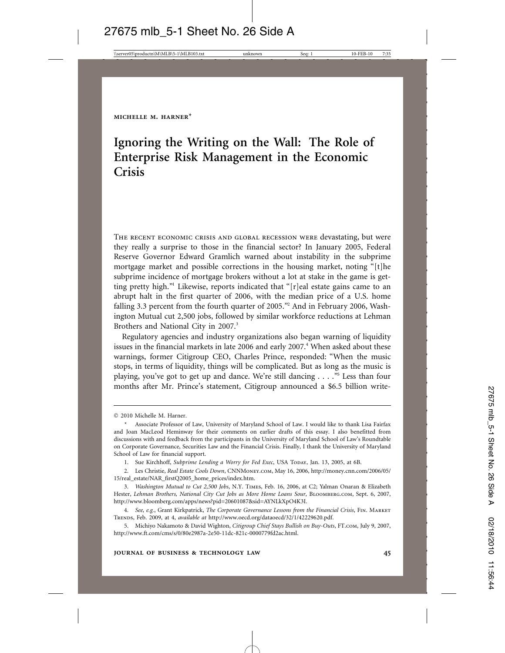# **Ignoring the Writing on the Wall: The Role of Enterprise Risk Management in the Economic Crisis**

The recent economic crisis and global recession were devastating, but were they really a surprise to those in the financial sector? In January 2005, Federal Reserve Governor Edward Gramlich warned about instability in the subprime mortgage market and possible corrections in the housing market, noting "[t]he subprime incidence of mortgage brokers without a lot at stake in the game is getting pretty high."<sup>1</sup> Likewise, reports indicated that "[r]eal estate gains came to an abrupt halt in the first quarter of 2006, with the median price of a U.S. home falling 3.3 percent from the fourth quarter of 2005."<sup>2</sup> And in February 2006, Washington Mutual cut 2,500 jobs, followed by similar workforce reductions at Lehman Brothers and National City in 2007.<sup>3</sup>

Regulatory agencies and industry organizations also began warning of liquidity issues in the financial markets in late 2006 and early 2007.<sup>4</sup> When asked about these warnings, former Citigroup CEO, Charles Prince, responded: "When the music stops, in terms of liquidity, things will be complicated. But as long as the music is playing, you've got to get up and dance. We're still dancing . . . ."5 Less than four months after Mr. Prince's statement, Citigroup announced a \$6.5 billion write-

1. Sue Kirchhoff, *Subprime Lending a Worry for Fed Exec*, USA Today, Jan. 13, 2005, at 6B.

<sup>©</sup> 2010 Michelle M. Harner.

Associate Professor of Law, University of Maryland School of Law. I would like to thank Lisa Fairfax and Joan MacLeod Heminway for their comments on earlier drafts of this essay. I also benefitted from discussions with and feedback from the participants in the University of Maryland School of Law's Roundtable on Corporate Governance, Securities Law and the Financial Crisis. Finally, I thank the University of Maryland School of Law for financial support.

<sup>2.</sup> Les Christie, *Real Estate Cools Down*, CNNMoney.com, May 16, 2006, http://money.cnn.com/2006/05/ 15/real\_estate/NAR\_firstQ2005\_home\_prices/index.htm.

<sup>3.</sup> *Washington Mutual to Cut 2,500 Jobs*, N.Y. Times, Feb. 16, 2006, at C2; Yalman Onaran & Elizabeth Hester, *Lehman Brothers, National City Cut Jobs as More Home Loans Sour*, BLOOMBERG.COM, Sept. 6, 2007, http://www.bloomberg.com/apps/news?pid=20601087&sid=AYNLkXpO4K3I.

<sup>4.</sup> *See, e.g.*, Grant Kirkpatrick, *The Corporate Governance Lessons from the Financial Crisis*, Fin. Market Trends, Feb. 2009, at 4, *available at* http://www.oecd.org/dataoecd/32/1/42229620.pdf.

<sup>5.</sup> Michiyo Nakamoto & David Wighton, *Citigroup Chief Stays Bullish on Buy-Outs*, FT.com, July 9, 2007, http://www.ft.com/cms/s/0/80e2987a-2e50-11dc-821c-0000779fd2ac.html.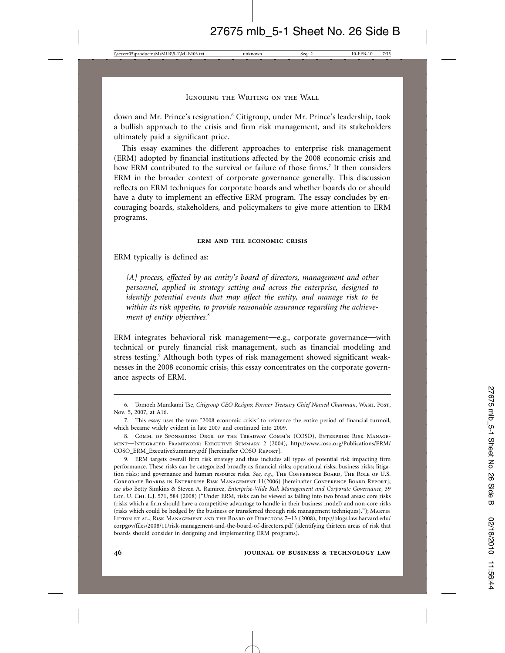down and Mr. Prince's resignation.<sup>6</sup> Citigroup, under Mr. Prince's leadership, took a bullish approach to the crisis and firm risk management, and its stakeholders ultimately paid a significant price.

This essay examines the different approaches to enterprise risk management (ERM) adopted by financial institutions affected by the 2008 economic crisis and how ERM contributed to the survival or failure of those firms.<sup>7</sup> It then considers ERM in the broader context of corporate governance generally. This discussion reflects on ERM techniques for corporate boards and whether boards do or should have a duty to implement an effective ERM program. The essay concludes by encouraging boards, stakeholders, and policymakers to give more attention to ERM programs.

### **erm and the economic crisis**

ERM typically is defined as:

*[A] process, effected by an entity's board of directors, management and other personnel, applied in strategy setting and across the enterprise, designed to identify potential events that may affect the entity, and manage risk to be within its risk appetite, to provide reasonable assurance regarding the achievement of entity objectives.*<sup>8</sup>

ERM integrates behavioral risk management—e.g., corporate governance—with technical or purely financial risk management, such as financial modeling and stress testing.<sup>9</sup> Although both types of risk management showed significant weaknesses in the 2008 economic crisis, this essay concentrates on the corporate governance aspects of ERM.

<sup>6.</sup> Tomoeh Murakami Tse, *Citigroup CEO Resigns; Former Treasury Chief Named Chairman*, Wash. Post, Nov. 5, 2007, at A16.

<sup>7.</sup> This essay uses the term "2008 economic crisis" to reference the entire period of financial turmoil, which became widely evident in late 2007 and continued into 2009.

<sup>8.</sup> Comm. of Sponsoring Orgs. of the Treadway Comm'n (COSO), Enterprise Risk Management—Integrated Framework: Executive Summary 2 (2004), http://www.coso.org/Publications/ERM/ COSO\_ERM\_ExecutiveSummary.pdf [hereinafter COSO Report].

<sup>9.</sup> ERM targets overall firm risk strategy and thus includes all types of potential risk impacting firm performance. These risks can be categorized broadly as financial risks; operational risks; business risks; litigation risks; and governance and human resource risks. *See, e.g.*, THE CONFERENCE BOARD, THE ROLE OF U.S. Corporate Boards in Enterprise Risk Management 11(2006) [hereinafter Conference Board Report]; *see also* Betty Simkins & Steven A. Ramirez, *Enterprise-Wide Risk Management and Corporate Governance*, 39 Loy. U. Chi. L.J. 571, 584 (2008) ("Under ERM, risks can be viewed as falling into two broad areas: core risks (risks which a firm should have a competitive advantage to handle in their business model) and non-core risks (risks which could be hedged by the business or transferred through risk management techniques)."); Martin Lipton et al., Risk Management and the Board of Directors 7–13 (2008), http://blogs.law.harvard.edu/ corpgov/files/2008/11/risk-management-and-the-board-of-directors.pdf (identifying thirteen areas of risk that boards should consider in designing and implementing ERM programs).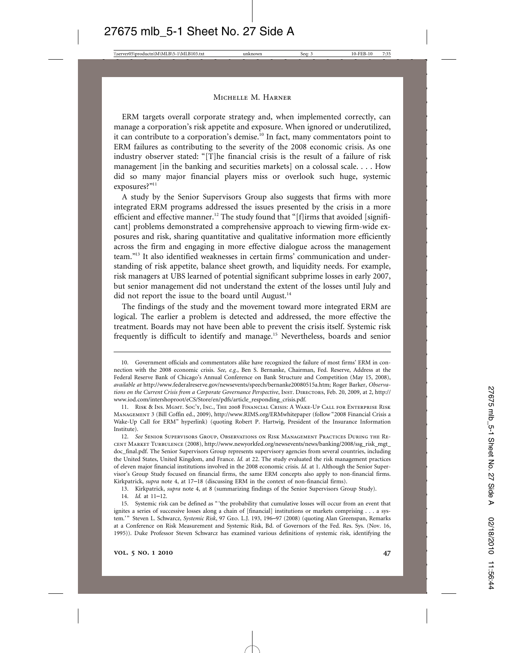ERM targets overall corporate strategy and, when implemented correctly, can manage a corporation's risk appetite and exposure. When ignored or underutilized, it can contribute to a corporation's demise.<sup>10</sup> In fact, many commentators point to ERM failures as contributing to the severity of the 2008 economic crisis. As one industry observer stated: "[T]he financial crisis is the result of a failure of risk management [in the banking and securities markets] on a colossal scale. . . . How did so many major financial players miss or overlook such huge, systemic exposures?"11

A study by the Senior Supervisors Group also suggests that firms with more integrated ERM programs addressed the issues presented by the crisis in a more efficient and effective manner.<sup>12</sup> The study found that "[f]irms that avoided [significant] problems demonstrated a comprehensive approach to viewing firm-wide exposures and risk, sharing quantitative and qualitative information more efficiently across the firm and engaging in more effective dialogue across the management team."13 It also identified weaknesses in certain firms' communication and understanding of risk appetite, balance sheet growth, and liquidity needs. For example, risk managers at UBS learned of potential significant subprime losses in early 2007, but senior management did not understand the extent of the losses until July and did not report the issue to the board until August.<sup>14</sup>

The findings of the study and the movement toward more integrated ERM are logical. The earlier a problem is detected and addressed, the more effective the treatment. Boards may not have been able to prevent the crisis itself. Systemic risk frequently is difficult to identify and manage.15 Nevertheless, boards and senior

13. Kirkpatrick, *supra* note 4, at 8 (summarizing findings of the Senior Supervisors Group Study).

<sup>10.</sup> Government officials and commentators alike have recognized the failure of most firms' ERM in connection with the 2008 economic crisis. *See, e.g.*, Ben S. Bernanke, Chairman, Fed. Reserve, Address at the Federal Reserve Bank of Chicago's Annual Conference on Bank Structure and Competition (May 15, 2008), *available at* http://www.federalreserve.gov/newsevents/speech/bernanke20080515a.htm; Roger Barker, *Observations on the Current Crisis from a Corporate Governance Perspective*, Inst. Directors, Feb. 20, 2009, at 2, http:// www.iod.com/intershoproot/eCS/Store/en/pdfs/article\_responding\_crisis.pdf.

<sup>11.</sup> Risk & Ins. Mgmt. Soc'y, Inc., The 2008 Financial Crisis: A Wake-Up Call for Enterprise Risk Management 3 (Bill Coffin ed., 2009), http://www.RIMS.org/ERMwhitepaper (follow "2008 Financial Crisis a Wake-Up Call for ERM" hyperlink) (quoting Robert P. Hartwig, President of the Insurance Information Institute).

<sup>12.</sup> *See* Senior Supervisors Group, Observations on Risk Management Practices During the Recent Market Turbulence (2008), http://www.newyorkfed.org/newsevents/news/banking/2008/ssg\_risk\_mgt\_ doc\_final.pdf. The Senior Supervisors Group represents supervisory agencies from several countries, including the United States, United Kingdom, and France. *Id.* at 22. The study evaluated the risk management practices of eleven major financial institutions involved in the 2008 economic crisis. *Id.* at 1. Although the Senior Supervisor's Group Study focused on financial firms, the same ERM concepts also apply to non-financial firms. Kirkpatrick, *supra* note 4, at 17–18 (discussing ERM in the context of non-financial firms).

<sup>14.</sup> *Id.* at 11–12.

<sup>15.</sup> Systemic risk can be defined as " 'the probability that cumulative losses will occur from an event that ignites a series of successive losses along a chain of [financial] institutions or markets comprising . . . a system.'" Steven L. Schwarcz, *Systemic Risk*, 97 Geo. L.J. 193, 196–97 (2008) (quoting Alan Greenspan, Remarks at a Conference on Risk Measurement and Systemic Risk, Bd. of Governors of the Fed. Res. Sys. (Nov. 16, 1995)). Duke Professor Steven Schwarcz has examined various definitions of systemic risk, identifying the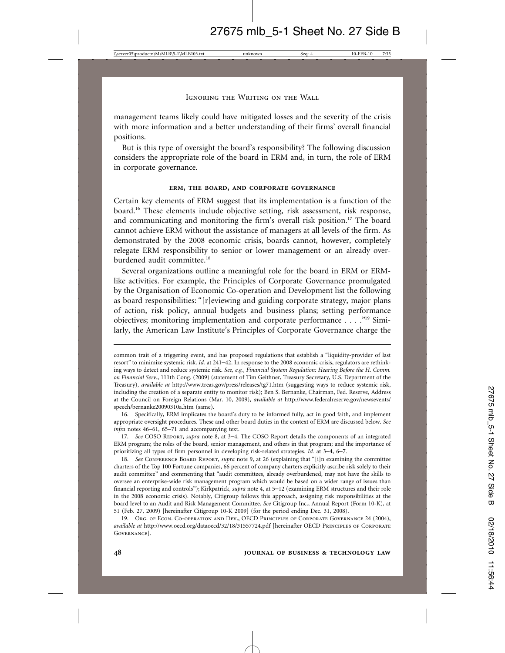management teams likely could have mitigated losses and the severity of the crisis with more information and a better understanding of their firms' overall financial positions.

But is this type of oversight the board's responsibility? The following discussion considers the appropriate role of the board in ERM and, in turn, the role of ERM in corporate governance.

## **erm, the board, and corporate governance**

Certain key elements of ERM suggest that its implementation is a function of the board.16 These elements include objective setting, risk assessment, risk response, and communicating and monitoring the firm's overall risk position.17 The board cannot achieve ERM without the assistance of managers at all levels of the firm. As demonstrated by the 2008 economic crisis, boards cannot, however, completely relegate ERM responsibility to senior or lower management or an already overburdened audit committee.<sup>18</sup>

Several organizations outline a meaningful role for the board in ERM or ERMlike activities. For example, the Principles of Corporate Governance promulgated by the Organisation of Economic Co-operation and Development list the following as board responsibilities: "[r]eviewing and guiding corporate strategy, major plans of action, risk policy, annual budgets and business plans; setting performance objectives; monitoring implementation and corporate performance . . . ."19 Similarly, the American Law Institute's Principles of Corporate Governance charge the

common trait of a triggering event, and has proposed regulations that establish a "liquidity-provider of last resort" to minimize systemic risk. *Id.* at 241–42. In response to the 2008 economic crisis, regulators are rethinking ways to detect and reduce systemic risk. *See, e.g.*, *Financial System Regulation: Hearing Before the H. Comm. on Financial Serv.*, 111th Cong. (2009) (statement of Tim Geithner, Treasury Secretary, U.S. Department of the Treasury), *available at* http://www.treas.gov/press/releases/tg71.htm (suggesting ways to reduce systemic risk, including the creation of a separate entity to monitor risk); Ben S. Bernanke, Chairman, Fed. Reserve, Address at the Council on Foreign Relations (Mar. 10, 2009), *available at* http://www.federalreserve.gov/newsevents/ speech/bernanke20090310a.htm (same).

<sup>16.</sup> Specifically, ERM implicates the board's duty to be informed fully, act in good faith, and implement appropriate oversight procedures. These and other board duties in the context of ERM are discussed below. *See infra* notes 46–61, 65–71 and accompanying text.

<sup>17.</sup> *See* COSO Report, *supra* note 8, at 3–4. The COSO Report details the components of an integrated ERM program; the roles of the board, senior management, and others in that program; and the importance of prioritizing all types of firm personnel in developing risk-related strategies. *Id.* at 3–4, 6–7.

<sup>18.</sup> *See* Conference Board Report, *supra* note 9, at 26 (explaining that "[i]n examining the committee charters of the Top 100 Fortune companies, 66 percent of company charters explicitly ascribe risk solely to their audit committee" and commenting that "audit committees, already overburdened, may not have the skills to oversee an enterprise-wide risk management program which would be based on a wider range of issues than financial reporting and controls"); Kirkpatrick, *supra* note 4, at 5–12 (examining ERM structures and their role in the 2008 economic crisis). Notably, Citigroup follows this approach, assigning risk responsibilities at the board level to an Audit and Risk Management Committee. *See* Citigroup Inc., Annual Report (Form 10-K), at 51 (Feb. 27, 2009) [hereinafter Citigroup 10-K 2009] (for the period ending Dec. 31, 2008).

<sup>19.</sup> Org. of Econ. Co-operation and Dev., OECD Principles of Corporate Governance 24 (2004), *available at* http://www.oecd.org/dataoecd/32/18/31557724.pdf [hereinafter OECD Principles of Corporate Governance].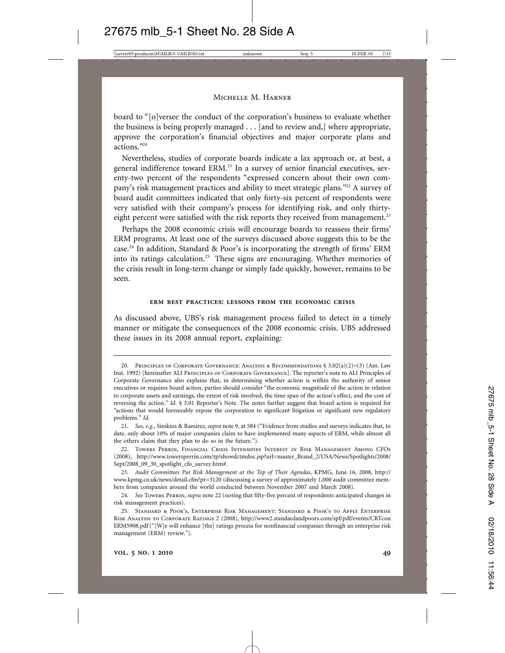board to "[o]versee the conduct of the corporation's business to evaluate whether the business is being properly managed . . . [and to review and,] where appropriate, approve the corporation's financial objectives and major corporate plans and actions."20

Nevertheless, studies of corporate boards indicate a lax approach or, at best, a general indifference toward ERM.<sup>21</sup> In a survey of senior financial executives, seventy-two percent of the respondents "expressed concern about their own company's risk management practices and ability to meet strategic plans."22 A survey of board audit committees indicated that only forty-six percent of respondents were very satisfied with their company's process for identifying risk, and only thirtyeight percent were satisfied with the risk reports they received from management.<sup>23</sup>

Perhaps the 2008 economic crisis will encourage boards to reassess their firms' ERM programs. At least one of the surveys discussed above suggests this to be the case.24 In addition, Standard & Poor's is incorporating the strength of firms' ERM into its ratings calculation.<sup>25</sup> These signs are encouraging. Whether memories of the crisis result in long-term change or simply fade quickly, however, remains to be seen.

#### **erm best practices: lessons from the economic crisis**

As discussed above, UBS's risk management process failed to detect in a timely manner or mitigate the consequences of the 2008 economic crisis. UBS addressed these issues in its 2008 annual report, explaining:

<sup>20.</sup> PRINCIPLES OF CORPORATE GOVERNANCE: ANALYSIS & RECOMMENDATIONS  $\S$  3.02(a)(2)–(3) (Am. Law Inst. 1992) [hereinafter ALI Principles of Corporate Governance]. The reporter's note to ALI Principles of Corporate Governance also explains that, in determining whether action is within the authority of senior executives or requires board action, parties should consider "the economic magnitude of the action in relation to corporate assets and earnings, the extent of risk involved, the time span of the action's effect, and the cost of reversing the action." *Id.* § 3.01 Reporter's Note. The notes further suggest that board action is required for "actions that would foreseeably expose the corporation to significant litigation or significant new regulatory problems." *Id.*

<sup>21.</sup> *See, e.g.*, Simkins & Ramirez, *supra* note 9, at 584 ("Evidence from studies and surveys indicates that, to date, only about 10% of major companies claim to have implemented many aspects of ERM, while almost all the others claim that they plan to do so in the future.").

<sup>22.</sup> Towers Perrin, Financial Crisis Intensifies Interest in Risk Management Among CFOs (2008), http://www.towersperrin.com/tp/showdctmdoc.jsp?url=master\_Brand\_2/USA/News/Spotlights/2008/ Sept/2008\_09\_30\_spotlight\_cfo\_survey.htm#.

<sup>23.</sup> *Audit Committees Put Risk Management at the Top of Their Agendas*, KPMG, June 16, 2008, http:// www.kpmg.co.uk/news/detail.cfm?pr=3120 (discussing a survey of approximately 1,000 audit committee members from companies around the world conducted between November 2007 and March 2008).

<sup>24.</sup> *See* Towers Perrin, *supra* note 22 (noting that fifty-five percent of respondents anticipated changes in risk management practices).

<sup>25.</sup> Standard & Poor's, Enterprise Risk Management: Standard & Poor's to Apply Enterprise Risk Analysis to Corporate Ratings 2 (2008), http://www2.standardandpoors.com/spf/pdf/events/CRTcon ERM5908.pdf ("[W]e will enhance [the] ratings process for nonfinancial companies through an enterprise risk management (ERM) review.").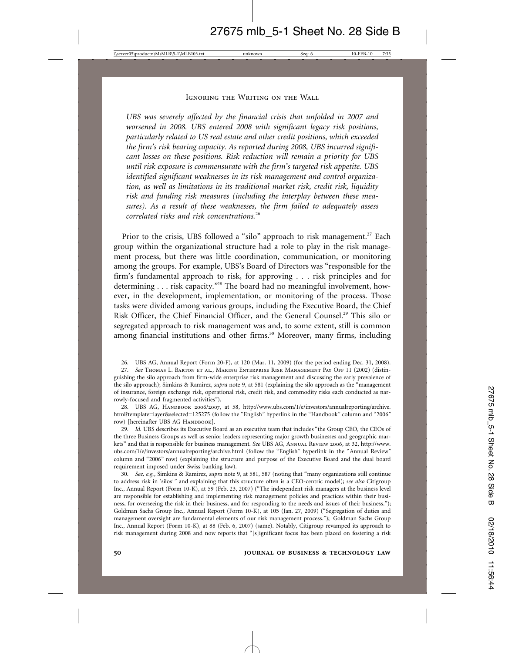*UBS was severely affected by the financial crisis that unfolded in 2007 and worsened in 2008. UBS entered 2008 with significant legacy risk positions, particularly related to US real estate and other credit positions, which exceeded the firm's risk bearing capacity. As reported during 2008, UBS incurred significant losses on these positions. Risk reduction will remain a priority for UBS until risk exposure is commensurate with the firm's targeted risk appetite. UBS identified significant weaknesses in its risk management and control organization, as well as limitations in its traditional market risk, credit risk, liquidity risk and funding risk measures (including the interplay between these measures). As a result of these weaknesses, the firm failed to adequately assess correlated risks and risk concentrations.*<sup>26</sup>

Prior to the crisis, UBS followed a "silo" approach to risk management.<sup>27</sup> Each group within the organizational structure had a role to play in the risk management process, but there was little coordination, communication, or monitoring among the groups. For example, UBS's Board of Directors was "responsible for the firm's fundamental approach to risk, for approving . . . risk principles and for determining . . . risk capacity.<sup>"28</sup> The board had no meaningful involvement, however, in the development, implementation, or monitoring of the process. Those tasks were divided among various groups, including the Executive Board, the Chief Risk Officer, the Chief Financial Officer, and the General Counsel.<sup>29</sup> This silo or segregated approach to risk management was and, to some extent, still is common among financial institutions and other firms.<sup>30</sup> Moreover, many firms, including

<sup>26.</sup> UBS AG, Annual Report (Form 20-F), at 120 (Mar. 11, 2009) (for the period ending Dec. 31, 2008).

<sup>27.</sup> *See* Thomas L. Barton et al., Making Enterprise Risk Management Pay Off 11 (2002) (distinguishing the silo approach from firm-wide enterprise risk management and discussing the early prevalence of the silo approach); Simkins & Ramirez, *supra* note 9, at 581 (explaining the silo approach as the "management of insurance, foreign exchange risk, operational risk, credit risk, and commodity risks each conducted as narrowly-focused and fragmented activities").

<sup>28.</sup> UBS AG, HANDBOOK 2006/2007, at 58, http://www.ubs.com/1/e/investors/annualreporting/archive. html?template=layer&selected=125275 (follow the "English" hyperlink in the "Handbook" column and "2006" row) [hereinafter UBS AG HANDBOOK].

<sup>29.</sup> *Id.* UBS describes its Executive Board as an executive team that includes "the Group CEO, the CEOs of the three Business Groups as well as senior leaders representing major growth businesses and geographic markets" and that is responsible for business management. *See* UBS AG, Annual Review 2006, at 32, http://www. ubs.com/1/e/investors/annualreporting/archive.html (follow the "English" hyperlink in the "Annual Review" column and "2006" row) (explaining the structure and purpose of the Executive Board and the dual board requirement imposed under Swiss banking law).

<sup>30.</sup> *See, e.g.*, Simkins & Ramirez, *supra* note 9, at 581, 587 (noting that "many organizations still continue to address risk in 'silos' " and explaining that this structure often is a CEO-centric model); *see also* Citigroup Inc., Annual Report (Form 10-K), at 59 (Feb. 23, 2007) ("The independent risk managers at the business level are responsible for establishing and implementing risk management policies and practices within their business, for overseeing the risk in their business, and for responding to the needs and issues of their business."); Goldman Sachs Group Inc., Annual Report (Form 10-K), at 105 (Jan. 27, 2009) ("Segregation of duties and management oversight are fundamental elements of our risk management process."); Goldman Sachs Group Inc., Annual Report (Form 10-K), at 88 (Feb. 6, 2007) (same). Notably, Citigroup revamped its approach to risk management during 2008 and now reports that "[s]ignificant focus has been placed on fostering a risk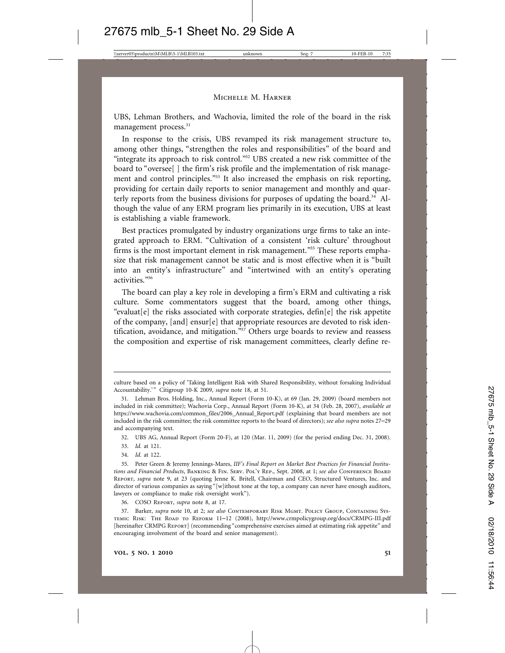UBS, Lehman Brothers, and Wachovia, limited the role of the board in the risk management process.<sup>31</sup>

In response to the crisis, UBS revamped its risk management structure to, among other things, "strengthen the roles and responsibilities" of the board and "integrate its approach to risk control."32 UBS created a new risk committee of the board to "oversee[ ] the firm's risk profile and the implementation of risk management and control principles.<sup>"33</sup> It also increased the emphasis on risk reporting, providing for certain daily reports to senior management and monthly and quarterly reports from the business divisions for purposes of updating the board.<sup>34</sup> Although the value of any ERM program lies primarily in its execution, UBS at least is establishing a viable framework.

Best practices promulgated by industry organizations urge firms to take an integrated approach to ERM. "Cultivation of a consistent 'risk culture' throughout firms is the most important element in risk management."<sup>35</sup> These reports emphasize that risk management cannot be static and is most effective when it is "built into an entity's infrastructure" and "intertwined with an entity's operating activities."36

The board can play a key role in developing a firm's ERM and cultivating a risk culture. Some commentators suggest that the board, among other things, "evaluat[e] the risks associated with corporate strategies, defin[e] the risk appetite of the company, [and] ensur[e] that appropriate resources are devoted to risk identification, avoidance, and mitigation."<sup>37</sup> Others urge boards to review and reassess the composition and expertise of risk management committees, clearly define re-

32. UBS AG, Annual Report (Form 20-F), at 120 (Mar. 11, 2009) (for the period ending Dec. 31, 2008).

33. *Id.* at 121.

34. *Id.* at 122.

35. Peter Green & Jeremy Jennings-Mares, *IIF's Final Report on Market Best Practices for Financial Institutions and Financial Products*, Banking & Fin. Serv. Pol'y Rep., Sept. 2008, at 1; *see also* Conference Board Report, *supra* note 9, at 23 (quoting Jenne K. Britell, Chairman and CEO, Structured Ventures, Inc. and director of various companies as saying "[w]ithout tone at the top, a company can never have enough auditors, lawyers or compliance to make risk oversight work").

36. COSO Report, *supra* note 8, at 17.

37. Barker, *supra* note 10, at 2; *see also* Contemporary Risk Mgmt. Policy Group, Containing Systemic Risk: The Road to Reform 11–12 (2008), http://www.crmpolicygroup.org/docs/CRMPG-III.pdf [hereinafter CRMPG REPORT] (recommending "comprehensive exercises aimed at estimating risk appetite" and encouraging involvement of the board and senior management).

culture based on a policy of 'Taking Intelligent Risk with Shared Responsibility, without forsaking Individual Accountability.'" Citigroup 10-K 2009, *supra* note 18, at 51.

<sup>31.</sup> Lehman Bros. Holding, Inc., Annual Report (Form 10-K), at 69 (Jan. 29, 2009) (board members not included in risk committee); Wachovia Corp., Annual Report (Form 10-K), at 34 (Feb. 28, 2007), *available at* https://www.wachovia.com/common\_files/2006\_Annual\_Report.pdf (explaining that board members are not included in the risk committee; the risk committee reports to the board of directors); *see also supra* notes 27–29 and accompanying text.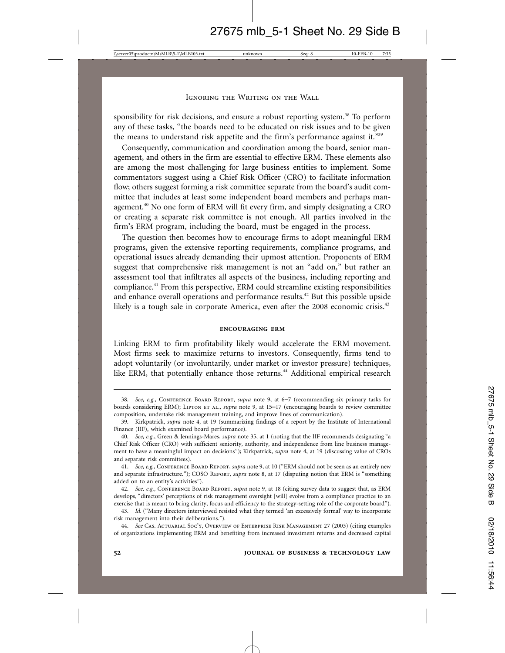sponsibility for risk decisions, and ensure a robust reporting system.<sup>38</sup> To perform any of these tasks, "the boards need to be educated on risk issues and to be given the means to understand risk appetite and the firm's performance against it."<sup>39</sup>

Consequently, communication and coordination among the board, senior management, and others in the firm are essential to effective ERM. These elements also are among the most challenging for large business entities to implement. Some commentators suggest using a Chief Risk Officer (CRO) to facilitate information flow; others suggest forming a risk committee separate from the board's audit committee that includes at least some independent board members and perhaps management.40 No one form of ERM will fit every firm, and simply designating a CRO or creating a separate risk committee is not enough. All parties involved in the firm's ERM program, including the board, must be engaged in the process.

The question then becomes how to encourage firms to adopt meaningful ERM programs, given the extensive reporting requirements, compliance programs, and operational issues already demanding their upmost attention. Proponents of ERM suggest that comprehensive risk management is not an "add on," but rather an assessment tool that infiltrates all aspects of the business, including reporting and compliance.41 From this perspective, ERM could streamline existing responsibilities and enhance overall operations and performance results.42 But this possible upside likely is a tough sale in corporate America, even after the 2008 economic crisis.<sup>43</sup>

# **encouraging erm**

Linking ERM to firm profitability likely would accelerate the ERM movement. Most firms seek to maximize returns to investors. Consequently, firms tend to adopt voluntarily (or involuntarily, under market or investor pressure) techniques, like ERM, that potentially enhance those returns.<sup>44</sup> Additional empirical research

<sup>38.</sup> *See, e.g.*, Conference Board Report, *supra* note 9, at 6–7 (recommending six primary tasks for boards considering ERM); Lipton et al., *supra* note 9, at 15–17 (encouraging boards to review committee composition, undertake risk management training, and improve lines of communication).

<sup>39.</sup> Kirkpatrick, *supra* note 4, at 19 (summarizing findings of a report by the Institute of International Finance (IIF), which examined board performance).

<sup>40.</sup> *See, e.g.*, Green & Jennings-Mares, *supra* note 35, at 1 (noting that the IIF recommends designating "a Chief Risk Officer (CRO) with sufficient seniority, authority, and independence from line business management to have a meaningful impact on decisions"); Kirkpatrick, *supra* note 4, at 19 (discussing value of CROs and separate risk committees).

<sup>41.</sup> *See, e.g.*, Conference Board Report, *supra* note 9, at 10 ("ERM should not be seen as an entirely new and separate infrastructure."); COSO Report, *supra* note 8, at 17 (disputing notion that ERM is "something added on to an entity's activities").

<sup>42.</sup> *See, e.g.*, Conference Board Report, *supra* note 9, at 18 (citing survey data to suggest that, as ERM develops, "directors' perceptions of risk management oversight [will] evolve from a compliance practice to an exercise that is meant to bring clarity, focus and efficiency to the strategy-setting role of the corporate board").

<sup>43.</sup> *Id.* ("Many directors interviewed resisted what they termed 'an excessively formal' way to incorporate risk management into their deliberations.").

<sup>44.</sup> *See* Cas. Actuarial Soc'y, Overview of Enterprise Risk Management 27 (2003) (citing examples of organizations implementing ERM and benefiting from increased investment returns and decreased capital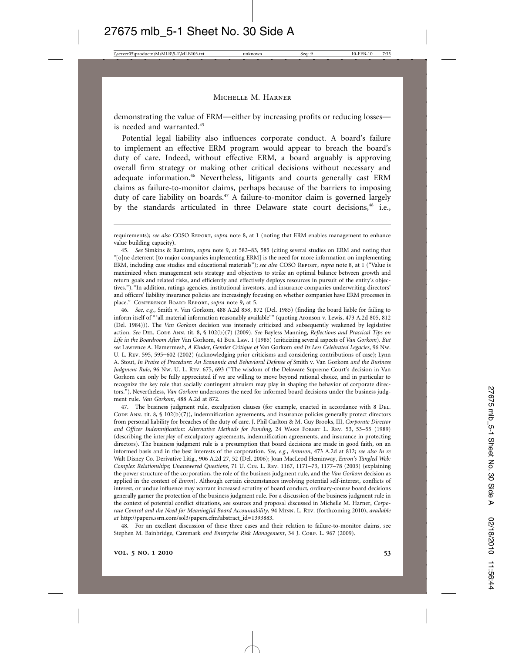demonstrating the value of ERM—either by increasing profits or reducing losses is needed and warranted.<sup>45</sup>

Potential legal liability also influences corporate conduct. A board's failure to implement an effective ERM program would appear to breach the board's duty of care. Indeed, without effective ERM, a board arguably is approving overall firm strategy or making other critical decisions without necessary and adequate information.<sup>46</sup> Nevertheless, litigants and courts generally cast ERM claims as failure-to-monitor claims, perhaps because of the barriers to imposing duty of care liability on boards.<sup>47</sup> A failure-to-monitor claim is governed largely by the standards articulated in three Delaware state court decisions,<sup>48</sup> i.e.,

46. *See, e.g.*, Smith v. Van Gorkom, 488 A.2d 858, 872 (Del. 1985) (finding the board liable for failing to inform itself of " 'all material information reasonably available'" (quoting Aronson v. Lewis, 473 A.2d 805, 812 (Del. 1984))). The *Van Gorkom* decision was intensely criticized and subsequently weakened by legislative action. *See* Del. Code Ann. tit. 8, § 102(b)(7) (2009). *See* Bayless Manning, *Reflections and Practical Tips on Life in the Boardroom After* Van Gorkom, 41 Bus. Law. 1 (1985) (criticizing several aspects of *Van Gorkom*). *But see* Lawrence A. Hamermesh, *A Kinder, Gentler Critique of* Van Gorkom *and Its Less Celebrated Legacies*, 96 Nw. U. L. Rev. 595, 595–602 (2002) (acknowledging prior criticisms and considering contributions of case); Lynn A. Stout, *In Praise of Procedure: An Economic and Behavioral Defense of* Smith v. Van Gorkom *and the Business Judgment Rule*, 96 Nw. U. L. Rev. 675, 693 ("The wisdom of the Delaware Supreme Court's decision in Van Gorkom can only be fully appreciated if we are willing to move beyond rational choice, and in particular to recognize the key role that socially contingent altruism may play in shaping the behavior of corporate directors."). Nevertheless, *Van Gorkom* underscores the need for informed board decisions under the business judgment rule. *Van Gorkom*, 488 A.2d at 872.

47. The business judgment rule, exculpation clauses (for example, enacted in accordance with 8 DEL. Code Ann. tit. 8,  $\S$  102(b)(7)), indemnification agreements, and insurance policies generally protect directors from personal liability for breaches of the duty of care. J. Phil Carlton & M. Guy Brooks, III, *Corporate Director* and Officer Indemnification: Alternative Methods for Funding, 24 WAKE FOREST L. REV. 53, 53-55 (1989) (describing the interplay of exculpatory agreements, indemnification agreements, and insurance in protecting directors). The business judgment rule is a presumption that board decisions are made in good faith, on an informed basis and in the best interests of the corporation. *See, e.g.*, *Aronson*, 473 A.2d at 812; *see also In re* Walt Disney Co. Derivative Litig., 906 A.2d 27, 52 (Del. 2006); Joan MacLeod Heminway, *Enron's Tangled Web: Complex Relationships; Unanswered Questions*, 71 U. Cin. L. Rev. 1167, 1171–73, 1177–78 (2003) (explaining the power structure of the corporation, the role of the business judgment rule, and the *Van Gorkom* decision as applied in the context of *Enron*). Although certain circumstances involving potential self-interest, conflicts of interest, or undue influence may warrant increased scrutiny of board conduct, ordinary-course board decisions generally garner the protection of the business judgment rule. For a discussion of the business judgment rule in the context of potential conflict situations, see sources and proposal discussed in Michelle M. Harner, *Corporate Control and the Need for Meaningful Board Accountability*, 94 Minn. L. Rev. (forthcoming 2010), *available at* http://papers.ssrn.com/sol3/papers.cfm?abstract\_id=1393883.

48. For an excellent discussion of these three cases and their relation to failure-to-monitor claims, see Stephen M. Bainbridge, Caremark *and Enterprise Risk Management*, 34 J. Corp. L. 967 (2009).

requirements); *see also* COSO Report, *supra* note 8, at 1 (noting that ERM enables management to enhance value building capacity).

<sup>45.</sup> *See* Simkins & Ramirez, *supra* note 9, at 582–83, 585 (citing several studies on ERM and noting that "[o]ne deterrent [to major companies implementing ERM] is the need for more information on implementing ERM, including case studies and educational materials"); *see also* COSO Report, *supra* note 8, at 1 ("Value is maximized when management sets strategy and objectives to strike an optimal balance between growth and return goals and related risks, and efficiently and effectively deploys resources in pursuit of the entity's objectives."). "In addition, ratings agencies, institutional investors, and insurance companies underwriting directors' and officers' liability insurance policies are increasingly focusing on whether companies have ERM processes in place." Conference Board Report, *supra* note 9, at 5.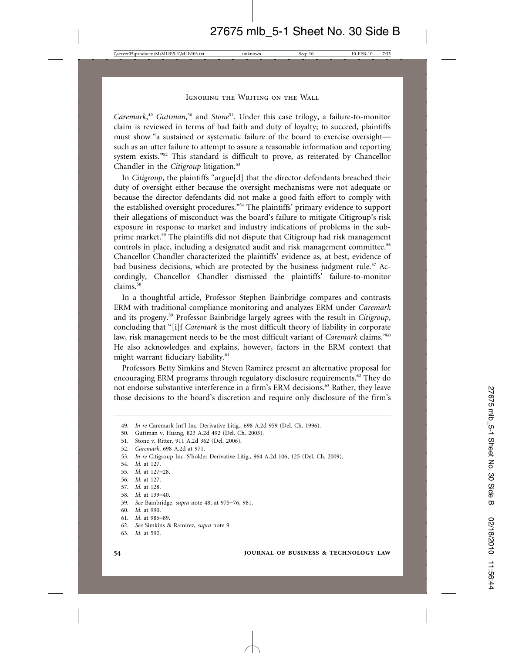Caremark,<sup>49</sup> Guttman,<sup>50</sup> and *Stone*<sup>51</sup>. Under this case trilogy, a failure-to-monitor claim is reviewed in terms of bad faith and duty of loyalty; to succeed, plaintiffs must show "a sustained or systematic failure of the board to exercise oversight such as an utter failure to attempt to assure a reasonable information and reporting system exists."<sup>52</sup> This standard is difficult to prove, as reiterated by Chancellor Chandler in the *Citigroup* litigation.<sup>53</sup>

In *Citigroup*, the plaintiffs "argue[d] that the director defendants breached their duty of oversight either because the oversight mechanisms were not adequate or because the director defendants did not make a good faith effort to comply with the established oversight procedures."54 The plaintiffs' primary evidence to support their allegations of misconduct was the board's failure to mitigate Citigroup's risk exposure in response to market and industry indications of problems in the subprime market.<sup>55</sup> The plaintiffs did not dispute that Citigroup had risk management controls in place, including a designated audit and risk management committee.<sup>56</sup> Chancellor Chandler characterized the plaintiffs' evidence as, at best, evidence of bad business decisions, which are protected by the business judgment rule.<sup>57</sup> Accordingly, Chancellor Chandler dismissed the plaintiffs' failure-to-monitor claims.<sup>58</sup>

In a thoughtful article, Professor Stephen Bainbridge compares and contrasts ERM with traditional compliance monitoring and analyzes ERM under *Caremark* and its progeny.59 Professor Bainbridge largely agrees with the result in *Citigroup*, concluding that "[i]f *Caremark* is the most difficult theory of liability in corporate law, risk management needs to be the most difficult variant of *Caremark* claims."60 He also acknowledges and explains, however, factors in the ERM context that might warrant fiduciary liability.<sup>61</sup>

Professors Betty Simkins and Steven Ramirez present an alternative proposal for encouraging ERM programs through regulatory disclosure requirements.<sup>62</sup> They do not endorse substantive interference in a firm's ERM decisions.<sup>63</sup> Rather, they leave those decisions to the board's discretion and require only disclosure of the firm's

- 54. *Id.* at 127.
- 55. *Id.* at 127–28.
- 56. *Id.* at 127.
- 57. *Id.* at 128.
- 58. *Id.* at 139–40.

- 60. *Id.* at 990.
- 61. *Id*. at 985–89.
- 62. *See* Simkins & Ramirez, *supra* note 9.
- 63. *Id*. at 592.

<sup>49.</sup> *In re* Caremark Int'l Inc. Derivative Litig., 698 A.2d 959 (Del. Ch. 1996).

<sup>50.</sup> Guttman v. Huang, 823 A.2d 492 (Del. Ch. 2003).

<sup>51.</sup> Stone v. Ritter, 911 A.2d 362 (Del. 2006).

<sup>52.</sup> *Caremark*, 698 A.2d at 971.

<sup>53.</sup> *In re* Citigroup Inc. S'holder Derivative Litig., 964 A.2d 106, 125 (Del. Ch. 2009).

<sup>59.</sup> *See* Bainbridge, *supra* note 48, at 975–76, 981.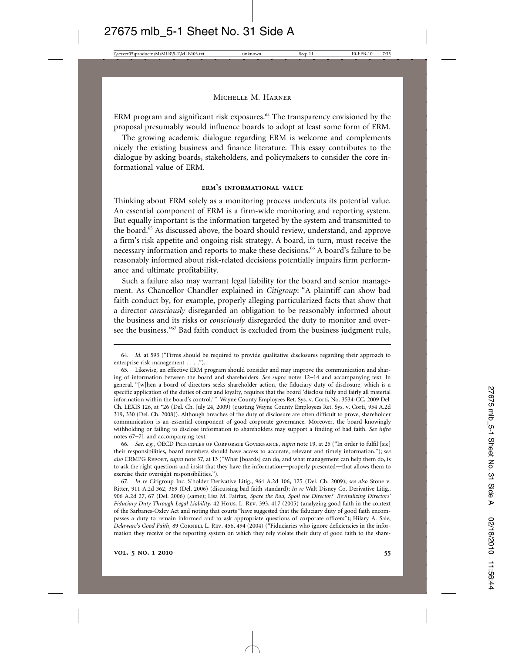ERM program and significant risk exposures.<sup>64</sup> The transparency envisioned by the proposal presumably would influence boards to adopt at least some form of ERM.

The growing academic dialogue regarding ERM is welcome and complements nicely the existing business and finance literature. This essay contributes to the dialogue by asking boards, stakeholders, and policymakers to consider the core informational value of ERM.

# **erm's informational value**

Thinking about ERM solely as a monitoring process undercuts its potential value. An essential component of ERM is a firm-wide monitoring and reporting system. But equally important is the information targeted by the system and transmitted to the board.65 As discussed above, the board should review, understand, and approve a firm's risk appetite and ongoing risk strategy. A board, in turn, must receive the necessary information and reports to make these decisions.<sup>66</sup> A board's failure to be reasonably informed about risk-related decisions potentially impairs firm performance and ultimate profitability.

Such a failure also may warrant legal liability for the board and senior management. As Chancellor Chandler explained in *Citigroup*: "A plaintiff can show bad faith conduct by, for example, properly alleging particularized facts that show that a director *consciously* disregarded an obligation to be reasonably informed about the business and its risks or *consciously* disregarded the duty to monitor and oversee the business."<sup>67</sup> Bad faith conduct is excluded from the business judgment rule,

66. *See, e.g.*, OECD Principles of Corporate Governance, *supra* note 19, at 25 ("In order to fulfil [sic] their responsibilities, board members should have access to accurate, relevant and timely information."); *see also* CRMPG Report, *supra* note 37, at 13 ("What [boards] can do, and what management can help them do, is to ask the right questions and insist that they have the information—properly presented—that allows them to exercise their oversight responsibilities.").

67. *In re* Citigroup Inc. S'holder Derivative Litig., 964 A.2d 106, 125 (Del. Ch. 2009); *see also* Stone v. Ritter, 911 A.2d 362, 369 (Del. 2006) (discussing bad faith standard); *In re* Walt Disney Co. Derivative Litig., 906 A.2d 27, 67 (Del. 2006) (same); Lisa M. Fairfax, *Spare the Rod, Spoil the Director? Revitalizing Directors' Fiduciary Duty Through Legal Liability*, 42 Hous. L. Rev. 393, 417 (2005) (analyzing good faith in the context of the Sarbanes-Oxley Act and noting that courts "have suggested that the fiduciary duty of good faith encompasses a duty to remain informed and to ask appropriate questions of corporate officers"); Hilary A. Sale, *Delaware's Good Faith*, 89 CORNELL L. REV. 456, 494 (2004) ("Fiduciaries who ignore deficiencies in the information they receive or the reporting system on which they rely violate their duty of good faith to the share-

<sup>64.</sup> *Id.* at 593 ("Firms should be required to provide qualitative disclosures regarding their approach to enterprise risk management . . . .").

<sup>65.</sup> Likewise, an effective ERM program should consider and may improve the communication and sharing of information between the board and shareholders. *See supra* notes 12–14 and accompanying text. In general, "[w]hen a board of directors seeks shareholder action, the fiduciary duty of disclosure, which is a specific application of the duties of care and loyalty, requires that the board 'disclose fully and fairly all material information within the board's control.'" Wayne County Employees Ret. Sys. v. Corti, No. 3534-CC, 2009 Del. Ch. LEXIS 126, at \*26 (Del. Ch. July 24, 2009) (quoting Wayne County Employees Ret. Sys. v. Corti, 954 A.2d 319, 330 (Del. Ch. 2008)). Although breaches of the duty of disclosure are often difficult to prove, shareholder communication is an essential component of good corporate governance. Moreover, the board knowingly withholding or failing to disclose information to shareholders may support a finding of bad faith. *See infra* notes 67–71 and accompanying text.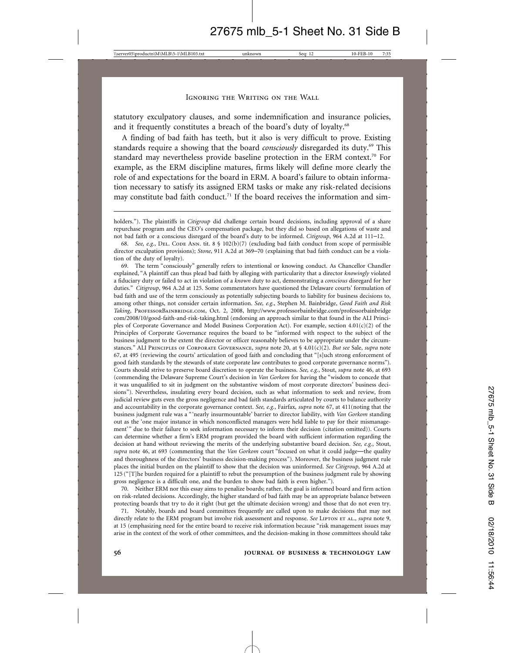statutory exculpatory clauses, and some indemnification and insurance policies, and it frequently constitutes a breach of the board's duty of loyalty.<sup>68</sup>

A finding of bad faith has teeth, but it also is very difficult to prove. Existing standards require a showing that the board *consciously* disregarded its duty.<sup>69</sup> This standard may nevertheless provide baseline protection in the ERM context.<sup>70</sup> For example, as the ERM discipline matures, firms likely will define more clearly the role of and expectations for the board in ERM. A board's failure to obtain information necessary to satisfy its assigned ERM tasks or make any risk-related decisions may constitute bad faith conduct.<sup>71</sup> If the board receives the information and sim-

holders."). The plaintiffs in *Citigroup* did challenge certain board decisions, including approval of a share repurchase program and the CEO's compensation package, but they did so based on allegations of waste and not bad faith or a conscious disregard of the board's duty to be informed. *Citigroup*, 964 A.2d at 111–12.

68. *See, e.g.*, DEL. CODE ANN, tit. 8 § 102(b)(7) (excluding bad faith conduct from scope of permissible director exculpation provisions); *Stone*, 911 A.2d at 369–70 (explaining that bad faith conduct can be a violation of the duty of loyalty).

69. The term "consciously" generally refers to intentional or knowing conduct. As Chancellor Chandler explained, "A plaintiff can thus plead bad faith by alleging with particularity that a director *knowingly* violated a fiduciary duty or failed to act in violation of a *known* duty to act, demonstrating a *conscious* disregard for her duties." *Citigroup*, 964 A.2d at 125. Some commentators have questioned the Delaware courts' formulation of bad faith and use of the term consciously as potentially subjecting boards to liability for business decisions to, among other things, not consider certain information. *See, e.g.*, Stephen M. Bainbridge, *Good Faith and Risk Taking*, ProfessorBainbridge.com, Oct. 2, 2008, http://www.professorbainbridge.com/professorbainbridge com/2008/10/good-faith-and-risk-taking.html (endorsing an approach similar to that found in the ALI Principles of Corporate Governance and Model Business Corporation Act). For example, section 4.01(c)(2) of the Principles of Corporate Governance requires the board to be "informed with respect to the subject of the business judgment to the extent the director or officer reasonably believes to be appropriate under the circumstances." ALI Principles of Corporate Governance, *supra* note 20, at § 4.01(c)(2). *But see* Sale, *supra* note 67, at 495 (reviewing the courts' articulation of good faith and concluding that "[s]uch strong enforcement of good faith standards by the stewards of state corporate law contributes to good corporate governance norms"). Courts should strive to preserve board discretion to operate the business. *See, e.g.*, Stout, *supra* note 46, at 693 (commending the Delaware Supreme Court's decision in *Van Gorkom* for having the "wisdom to concede that it was unqualified to sit in judgment on the substantive wisdom of most corporate directors' business decisions"). Nevertheless, insulating every board decision, such as what information to seek and review, from judicial review guts even the gross negligence and bad faith standards articulated by courts to balance authority and accountability in the corporate governance context. *See, e.g.*, Fairfax, *supra* note 67, at 411(noting that the business judgment rule was a " 'nearly insurmountable' barrier to director liability, with *Van Gorkom* standing out as the 'one major instance in which nonconflicted managers were held liable to pay for their mismanagement'" due to their failure to seek information necessary to inform their decision (citation omitted)). Courts can determine whether a firm's ERM program provided the board with sufficient information regarding the decision at hand without reviewing the merits of the underlying substantive board decision. *See, e.g.*, Stout, *supra* note 46, at 693 (commenting that the *Van Gorkom* court "focused on what it could judge—the quality and thoroughness of the directors' business decision-making process"). Moreover, the business judgment rule places the initial burden on the plaintiff to show that the decision was uninformed. *See Citigroup,* 964 A.2d at 125 ("[T]he burden required for a plaintiff to rebut the presumption of the business judgment rule by showing gross negligence is a difficult one, and the burden to show bad faith is even higher.").

70. Neither ERM nor this essay aims to penalize boards; rather, the goal is informed board and firm action on risk-related decisions. Accordingly, the higher standard of bad faith may be an appropriate balance between protecting boards that try to do it right (but get the ultimate decision wrong) and those that do not even try.

71. Notably, boards and board committees frequently are called upon to make decisions that may not directly relate to the ERM program but involve risk assessment and response. *See* LIPTON ET AL., *supra* note 9, at 15 (emphasizing need for the entire board to receive risk information because "risk management issues may arise in the context of the work of other committees, and the decision-making in those committees should take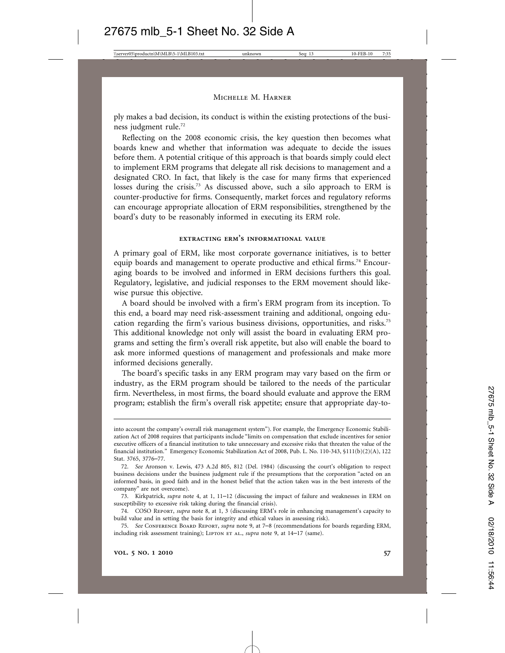ply makes a bad decision, its conduct is within the existing protections of the business judgment rule.72

Reflecting on the 2008 economic crisis, the key question then becomes what boards knew and whether that information was adequate to decide the issues before them. A potential critique of this approach is that boards simply could elect to implement ERM programs that delegate all risk decisions to management and a designated CRO. In fact, that likely is the case for many firms that experienced losses during the crisis.<sup>73</sup> As discussed above, such a silo approach to ERM is counter-productive for firms. Consequently, market forces and regulatory reforms can encourage appropriate allocation of ERM responsibilities, strengthened by the board's duty to be reasonably informed in executing its ERM role.

# **extracting erm's informational value**

A primary goal of ERM, like most corporate governance initiatives, is to better equip boards and management to operate productive and ethical firms.<sup>74</sup> Encouraging boards to be involved and informed in ERM decisions furthers this goal. Regulatory, legislative, and judicial responses to the ERM movement should likewise pursue this objective.

A board should be involved with a firm's ERM program from its inception. To this end, a board may need risk-assessment training and additional, ongoing education regarding the firm's various business divisions, opportunities, and risks.75 This additional knowledge not only will assist the board in evaluating ERM programs and setting the firm's overall risk appetite, but also will enable the board to ask more informed questions of management and professionals and make more informed decisions generally.

The board's specific tasks in any ERM program may vary based on the firm or industry, as the ERM program should be tailored to the needs of the particular firm. Nevertheless, in most firms, the board should evaluate and approve the ERM program; establish the firm's overall risk appetite; ensure that appropriate day-to-

into account the company's overall risk management system"). For example, the Emergency Economic Stabilization Act of 2008 requires that participants include "limits on compensation that exclude incentives for senior executive officers of a financial institution to take unnecessary and excessive risks that threaten the value of the financial institution." Emergency Economic Stabilization Act of 2008, Pub. L. No. 110-343, §111(b)(2)(A), 122 Stat. 3765, 3776–77.

<sup>72.</sup> *See* Aronson v. Lewis, 473 A.2d 805, 812 (Del. 1984) (discussing the court's obligation to respect business decisions under the business judgment rule if the presumptions that the corporation "acted on an informed basis, in good faith and in the honest belief that the action taken was in the best interests of the company" are not overcome).

<sup>73.</sup> Kirkpatrick, *supra* note 4, at 1, 11–12 (discussing the impact of failure and weaknesses in ERM on susceptibility to excessive risk taking during the financial crisis).

<sup>74.</sup> COSO Report, *supra* note 8, at 1, 3 (discussing ERM's role in enhancing management's capacity to build value and in setting the basis for integrity and ethical values in assessing risk).

<sup>75.</sup> *See* Conference Board Report, *supra* note 9, at 7–8 (recommendations for boards regarding ERM, including risk assessment training); LIPTON ET AL., *supra* note 9, at 14–17 (same).